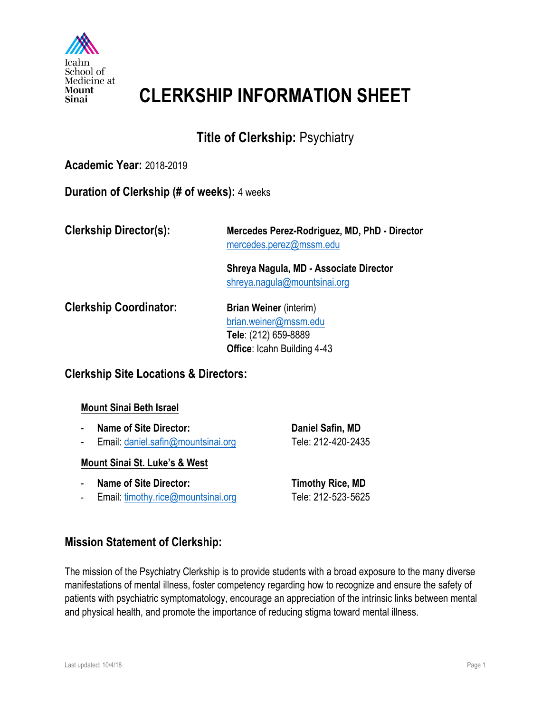

## **CLERKSHIP INFORMATION SHEET**

## **Title of Clerkship:** Psychiatry

### **Academic Year:** 2018-2019

#### **Duration of Clerkship (# of weeks):** 4 weeks

**Clerkship Director(s): Mercedes Perez-Rodriguez, MD, PhD - Director** mercedes.perez@mssm.edu

> **Shreya Nagula, MD - Associate Director** shreya.nagula@mountsinai.org

**Clerkship Coordinator:** Brian Weiner (interim)

brian.weiner@mssm.edu **Tele**: (212) 659-8889 **Office**: Icahn Building 4-43

### **Clerkship Site Locations & Directors:**

#### **Mount Sinai Beth Israel**

- **Name of Site Director:** Daniel Safin, MD
- Email: daniel.safin@mountsinai.org Tele: 212-420-2435

#### **Mount Sinai St. Luke's & West**

- **Name of Site Director:** Timothy Rice, MD
- Email: timothy.rice@mountsinai.org Tele: 212-523-5625

### **Mission Statement of Clerkship:**

The mission of the Psychiatry Clerkship is to provide students with a broad exposure to the many diverse manifestations of mental illness, foster competency regarding how to recognize and ensure the safety of patients with psychiatric symptomatology, encourage an appreciation of the intrinsic links between mental and physical health, and promote the importance of reducing stigma toward mental illness.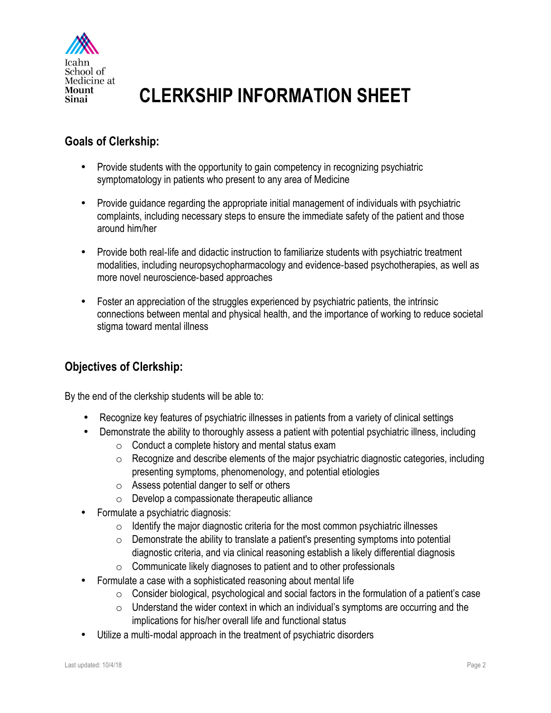

## **CLERKSHIP INFORMATION SHEET**

## **Goals of Clerkship:**

- Provide students with the opportunity to gain competency in recognizing psychiatric symptomatology in patients who present to any area of Medicine
- Provide guidance regarding the appropriate initial management of individuals with psychiatric complaints, including necessary steps to ensure the immediate safety of the patient and those around him/her
- Provide both real-life and didactic instruction to familiarize students with psychiatric treatment modalities, including neuropsychopharmacology and evidence-based psychotherapies, as well as more novel neuroscience-based approaches
- Foster an appreciation of the struggles experienced by psychiatric patients, the intrinsic connections between mental and physical health, and the importance of working to reduce societal stigma toward mental illness

## **Objectives of Clerkship:**

By the end of the clerkship students will be able to:

- Recognize key features of psychiatric illnesses in patients from a variety of clinical settings
- Demonstrate the ability to thoroughly assess a patient with potential psychiatric illness, including
	- o Conduct a complete history and mental status exam
	- $\circ$  Recognize and describe elements of the major psychiatric diagnostic categories, including presenting symptoms, phenomenology, and potential etiologies
	- o Assess potential danger to self or others
	- $\circ$  Develop a compassionate therapeutic alliance
- Formulate a psychiatric diagnosis:
	- $\circ$  Identify the major diagnostic criteria for the most common psychiatric illnesses
	- $\circ$  Demonstrate the ability to translate a patient's presenting symptoms into potential diagnostic criteria, and via clinical reasoning establish a likely differential diagnosis
	- o Communicate likely diagnoses to patient and to other professionals
- Formulate a case with a sophisticated reasoning about mental life
	- o Consider biological, psychological and social factors in the formulation of a patient's case
	- $\circ$  Understand the wider context in which an individual's symptoms are occurring and the implications for his/her overall life and functional status
- Utilize a multi-modal approach in the treatment of psychiatric disorders